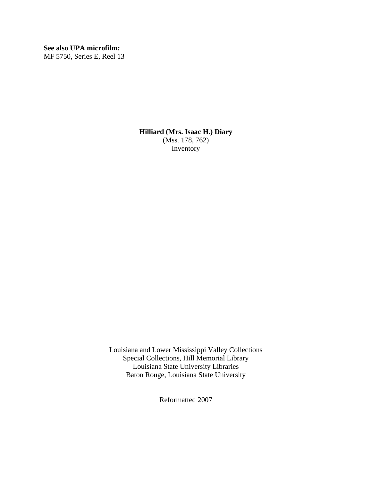**See also UPA microfilm:**  MF 5750, Series E, Reel 13

> **Hilliard (Mrs. Isaac H.) Diary**  (Mss. 178, 762) Inventory

Louisiana and Lower Mississippi Valley Collections Special Collections, Hill Memorial Library Louisiana State University Libraries Baton Rouge, Louisiana State University

Reformatted 2007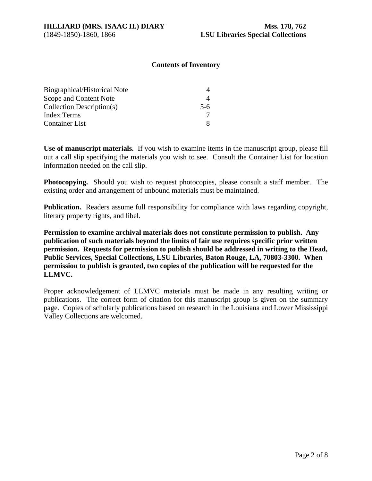# **Contents of Inventory**

| Biographical/Historical Note |       |
|------------------------------|-------|
| Scope and Content Note       |       |
| Collection Description(s)    | $5-6$ |
| <b>Index Terms</b>           |       |
| <b>Container List</b>        |       |

**Use of manuscript materials.** If you wish to examine items in the manuscript group, please fill out a call slip specifying the materials you wish to see. Consult the Container List for location information needed on the call slip.

**Photocopying.** Should you wish to request photocopies, please consult a staff member. The existing order and arrangement of unbound materials must be maintained.

**Publication.** Readers assume full responsibility for compliance with laws regarding copyright, literary property rights, and libel.

**Permission to examine archival materials does not constitute permission to publish. Any publication of such materials beyond the limits of fair use requires specific prior written permission. Requests for permission to publish should be addressed in writing to the Head, Public Services, Special Collections, LSU Libraries, Baton Rouge, LA, 70803-3300. When permission to publish is granted, two copies of the publication will be requested for the LLMVC.** 

Proper acknowledgement of LLMVC materials must be made in any resulting writing or publications. The correct form of citation for this manuscript group is given on the summary page. Copies of scholarly publications based on research in the Louisiana and Lower Mississippi Valley Collections are welcomed.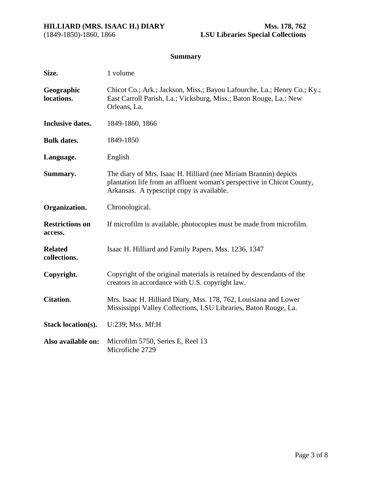# **Summary**

| Size.                             | 1 volume                                                                                                                                                                                |  |
|-----------------------------------|-----------------------------------------------------------------------------------------------------------------------------------------------------------------------------------------|--|
| Geographic<br>locations.          | Chicot Co.; Ark.; Jackson, Miss.; Bayou Lafourche, La.; Henry Co.; Ky.;<br>East Carroll Parish, La.; Vicksburg, Miss.; Baton Rouge, La.; New<br>Orleans, La.                            |  |
| <b>Inclusive dates.</b>           | 1849-1860, 1866                                                                                                                                                                         |  |
| <b>Bulk dates.</b>                | 1849-1850                                                                                                                                                                               |  |
| Language.                         | English                                                                                                                                                                                 |  |
| Summary.                          | The diary of Mrs. Isaac H. Hilliard (nee Miriam Brannin) depicts<br>plantation life from an affluent woman's perspective in Chicot County,<br>Arkansas. A typescript copy is available. |  |
| Organization.                     | Chronological.                                                                                                                                                                          |  |
| <b>Restrictions on</b><br>access. | If microfilm is available, photocopies must be made from microfilm.                                                                                                                     |  |
| <b>Related</b><br>collections.    | Isaac H. Hilliard and Family Papers, Mss. 1236, 1347                                                                                                                                    |  |
| Copyright.                        | Copyright of the original materials is retained by descendants of the<br>creators in accordance with U.S. copyright law.                                                                |  |
| <b>Citation.</b>                  | Mrs. Isaac H. Hilliard Diary, Mss. 178, 762, Louisiana and Lower<br>Mississippi Valley Collections, LSU Libraries, Baton Rouge, La.                                                     |  |
| Stack location(s).                | U:239; Mss. Mf:H                                                                                                                                                                        |  |
| Also available on:                | Microfilm 5750, Series E, Reel 13<br>Microfiche 2729                                                                                                                                    |  |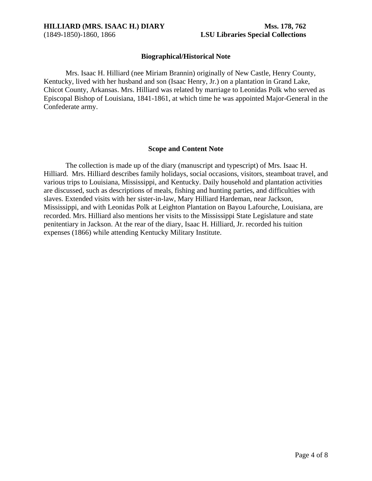<span id="page-3-0"></span>

# **Biographical/Historical Note**

 Mrs. Isaac H. Hilliard (nee Miriam Brannin) originally of New Castle, Henry County, Kentucky, lived with her husband and son (Isaac Henry, Jr.) on a plantation in Grand Lake, Chicot County, Arkansas. Mrs. Hilliard was related by marriage to Leonidas Polk who served as Episcopal Bishop of Louisiana, 1841-1861, at which time he was appointed Major-General in the Confederate army.

## **Scope and Content Note**

The collection is made up of the diary (manuscript and typescript) of Mrs. Isaac H. Hilliard. Mrs. Hilliard describes family holidays, social occasions, visitors, steamboat travel, and various trips to Louisiana, Mississippi, and Kentucky. Daily household and plantation activities are discussed, such as descriptions of meals, fishing and hunting parties, and difficulties with slaves. Extended visits with her sister-in-law, Mary Hilliard Hardeman, near Jackson, Mississippi, and with Leonidas Polk at Leighton Plantation on Bayou Lafourche, Louisiana, are recorded. Mrs. Hilliard also mentions her visits to the Mississippi State Legislature and state penitentiary in Jackson. At the rear of the diary, Isaac H. Hilliard, Jr. recorded his tuition expenses (1866) while attending Kentucky Military Institute.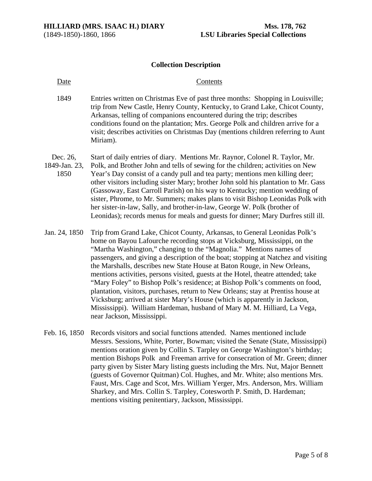### **Collection Description**

### <span id="page-4-0"></span>Date Contents

- 1849 Entries written on Christmas Eve of past three months: Shopping in Louisville; trip from New Castle, Henry County, Kentucky, to Grand Lake, Chicot County, Arkansas, telling of companions encountered during the trip; describes conditions found on the plantation; Mrs. George Polk and children arrive for a visit; describes activities on Christmas Day (mentions children referring to Aunt Miriam).
- Dec. 26, Start of daily entries of diary. Mentions Mr. Raynor, Colonel R. Taylor, Mr.
- 1849-Jan. 23, 1850 Polk, and Brother John and tells of sewing for the children; activities on New Year's Day consist of a candy pull and tea party; mentions men killing deer; other visitors including sister Mary; brother John sold his plantation to Mr. Gass (Gassoway, East Carroll Parish) on his way to Kentucky; mention wedding of sister, Phrome, to Mr. Summers; makes plans to visit Bishop Leonidas Polk with her sister-in-law, Sally, and brother-in-law, George W. Polk (brother of Leonidas); records menus for meals and guests for dinner; Mary Durfres still ill.
- Jan. 24, 1850 Trip from Grand Lake, Chicot County, Arkansas, to General Leonidas Polk's home on Bayou Lafourche recording stops at Vicksburg, Mississippi, on the "Martha Washington," changing to the "Magnolia." Mentions names of passengers, and giving a description of the boat; stopping at Natchez and visiting the Marshalls, describes new State House at Baton Rouge, in New Orleans, mentions activities, persons visited, guests at the Hotel, theatre attended; take "Mary Foley" to Bishop Polk's residence; at Bishop Polk's comments on food, plantation, visitors, purchases, return to New Orleans; stay at Prentiss house at Vicksburg; arrived at sister Mary's House (which is apparently in Jackson, Mississippi). William Hardeman, husband of Mary M. M. Hilliard, La Vega, near Jackson, Mississippi.
- Feb. 16, 1850 Records visitors and social functions attended. Names mentioned include Messrs. Sessions, White, Porter, Bowman; visited the Senate (State, Mississippi) mentions oration given by Collin S. Tarpley on George Washington's birthday; mention Bishops Polk and Freeman arrive for consecration of Mr. Green; dinner party given by Sister Mary listing guests including the Mrs. Nut, Major Bennett (guests of Governor Quitman) Col. Hughes, and Mr. White; also mentions Mrs. Faust, Mrs. Cage and Scot, Mrs. William Yerger, Mrs. Anderson, Mrs. William Sharkey, and Mrs. Collin S. Tarpley, Cotesworth P. Smith, D. Hardeman; mentions visiting penitentiary, Jackson, Mississippi.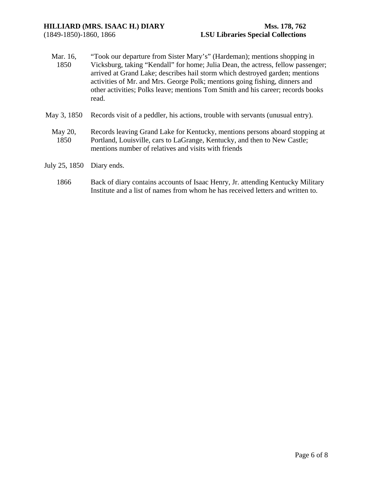- Mar. 16, 1850 "Took our departure from Sister Mary's" (Hardeman); mentions shopping in Vicksburg, taking "Kendall" for home; Julia Dean, the actress, fellow passenger; arrived at Grand Lake; describes hail storm which destroyed garden; mentions activities of Mr. and Mrs. George Polk; mentions going fishing, dinners and other activities; Polks leave; mentions Tom Smith and his career; records books read.
- May 3, 1850 Records visit of a peddler, his actions, trouble with servants (unusual entry).
	- May 20, 1850 Records leaving Grand Lake for Kentucky, mentions persons aboard stopping at Portland, Louisville, cars to LaGrange, Kentucky, and then to New Castle; mentions number of relatives and visits with friends
- July 25, 1850 Diary ends.
	- 1866 Back of diary contains accounts of Isaac Henry, Jr. attending Kentucky Military Institute and a list of names from whom he has received letters and written to.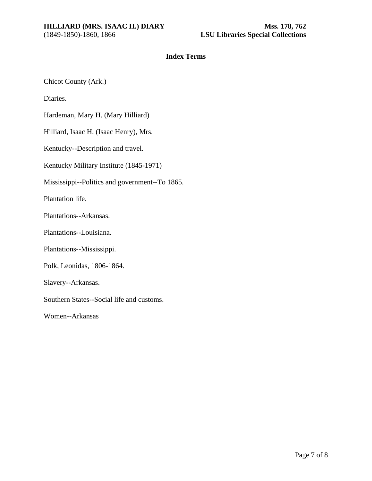# **Index Terms**

<span id="page-6-0"></span>Chicot County (Ark.)

Diaries.

Hardeman, Mary H. (Mary Hilliard)

Hilliard, Isaac H. (Isaac Henry), Mrs.

Kentucky--Description and travel.

Kentucky Military Institute (1845-1971)

Mississippi--Politics and government--To 1865.

Plantation life.

Plantations--Arkansas.

Plantations--Louisiana.

Plantations--Mississippi.

Polk, Leonidas, 1806-1864.

Slavery--Arkansas.

Southern States--Social life and customs.

Women--Arkansas